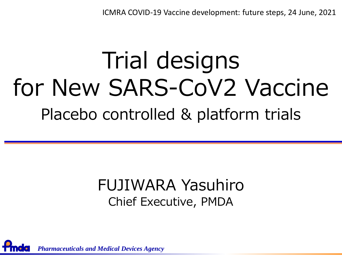ICMRA COVID-19 Vaccine development: future steps, 24 June, 2021

# Trial designs for New SARS-CoV2 Vaccine Placebo controlled & platform trials

#### FUJIWARA Yasuhiro Chief Executive, PMDA

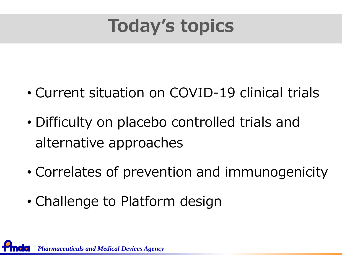

- Current situation on COVID-19 clinical trials
- Difficulty on placebo controlled trials and alternative approaches
- Correlates of prevention and immunogenicity
- Challenge to Platform design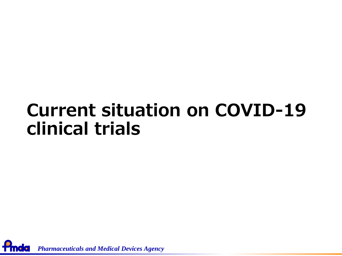### **Current situation on COVID-19 clinical trials**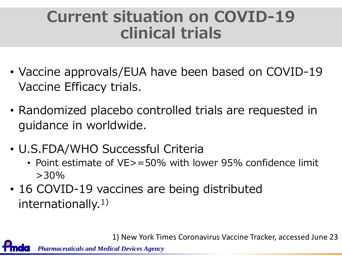### **Current situation on COVID-19 clinical trials**

- Vaccine approvals/EUA have been based on COVID-19 Vaccine Efficacy trials.
- Randomized placebo controlled trials are requested in guidance in worldwide.
- U.S.FDA/WHO Successful Criteria
	- Point estimate of VE>=50% with lower 95% confidence limit  $>30\%$
- 16 COVID-19 vaccines are being distributed internationally.<sup>1)</sup>

1) New York Times Coronavirus Vaccine Tracker, accessed June 23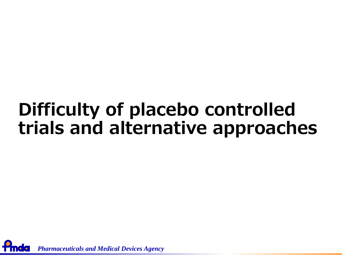### **Difficulty of placebo controlled trials and alternative approaches**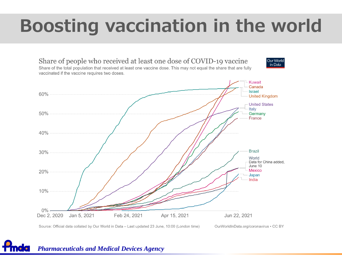### **Boosting vaccination in the world**



Source: Official data collated by Our World in Data - Last updated 23 June, 10:00 (London time)

OurWorldInData.org/coronavirus . CC BY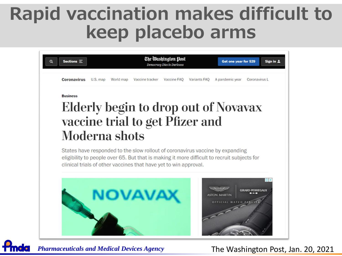### **Rapid vaccination makes difficult to keep placebo arms**

| <b>Coronavirus</b> | U.S. map | World map | Vaccine tracker                                                  | Democracy Dies in Darkness<br>Vaccine FAO | Variants FAQ | Get one year for \$29<br>A pandemic year                                                                                                                                     | Sign in 1<br>Coronavirus L |
|--------------------|----------|-----------|------------------------------------------------------------------|-------------------------------------------|--------------|------------------------------------------------------------------------------------------------------------------------------------------------------------------------------|----------------------------|
| <b>Business</b>    |          |           |                                                                  |                                           |              |                                                                                                                                                                              |                            |
|                    |          |           |                                                                  |                                           |              | Elderly begin to drop out of Novavax                                                                                                                                         |                            |
|                    |          |           | vaccine trial to get Pfizer and                                  |                                           |              |                                                                                                                                                                              |                            |
| Moderna shots      |          |           |                                                                  |                                           |              |                                                                                                                                                                              |                            |
|                    |          |           |                                                                  |                                           |              |                                                                                                                                                                              |                            |
|                    |          |           | clinical trials of other vaccines that have yet to win approval. |                                           |              | States have responded to the slow rollout of coronavirus vaccine by expanding<br>eligibility to people over 65. But that is making it more difficult to recruit subjects for |                            |
|                    |          |           |                                                                  |                                           |              |                                                                                                                                                                              |                            |
|                    |          |           |                                                                  |                                           |              | <b>ASTON MARTIN</b><br>OFFICIAL WATCH PART                                                                                                                                   | <b>GIRARD-PERREGAUX</b>    |
|                    |          |           |                                                                  |                                           |              |                                                                                                                                                                              |                            |

*Pharmaceuticals and Medical Devices Agency*

#### The Washington Post, Jan. 20, 2021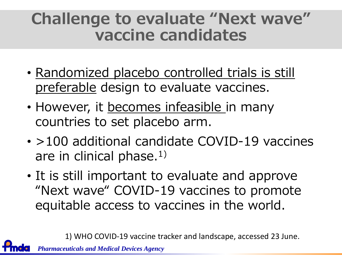### **Challenge to evaluate "Next wave" vaccine candidates**

- Randomized placebo controlled trials is still preferable design to evaluate vaccines.
- However, it becomes infeasible in many countries to set placebo arm.
- >100 additional candidate COVID-19 vaccines are in clinical phase.<sup>1)</sup>
- It is still important to evaluate and approve "Next wave" COVID-19 vaccines to promote equitable access to vaccines in the world.

1) WHO COVID-19 vaccine tracker and landscape, accessed 23 June.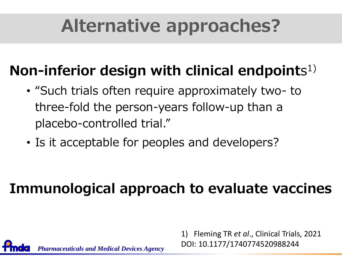### **Alternative approaches?**

#### **Non-inferior design with clinical endpoint**s 1)

- "Such trials often require approximately two- to three-fold the person-years follow-up than a placebo-controlled trial."
- Is it acceptable for peoples and developers?

*Pharmaceuticals and Medical Devices Agency*

#### **Immunological approach to evaluate vaccines**

1) Fleming TR *et al*., Clinical Trials, 2021 DOI: 10.1177/1740774520988244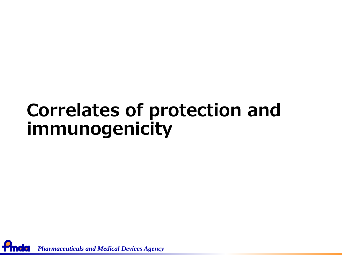### **Correlates of protection and immunogenicity**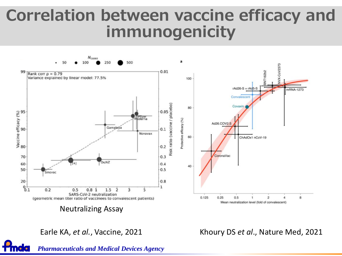#### **Correlation between vaccine efficacy and immunogenicity**



Earle KA, *et al.*, Vaccine, 2021

Khoury DS *et al*., Nature Med, 2021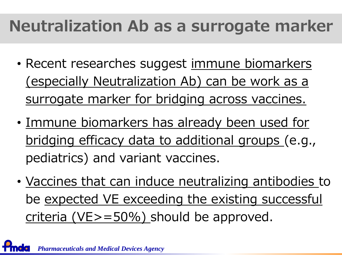### **Neutralization Ab as a surrogate marker**

- Recent researches suggest immune biomarkers (especially Neutralization Ab) can be work as a surrogate marker for bridging across vaccines.
- Immune biomarkers has already been used for bridging efficacy data to additional groups (e.g., pediatrics) and variant vaccines.
- Vaccines that can induce neutralizing antibodies to be expected VE exceeding the existing successful criteria (VE>=50%) should be approved.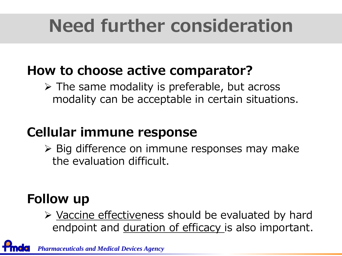## **Need further consideration**

#### **How to choose active comparator?**

 $\triangleright$  The same modality is preferable, but across modality can be acceptable in certain situations.

#### **Cellular immune response**

➢ Big difference on immune responses may make the evaluation difficult.

#### **Follow up**

➢ Vaccine effectiveness should be evaluated by hard endpoint and duration of efficacy is also important.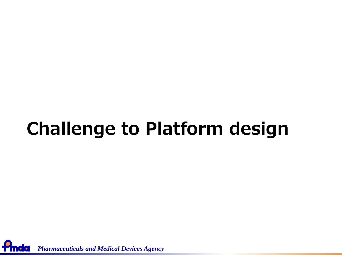## **Challenge to Platform design**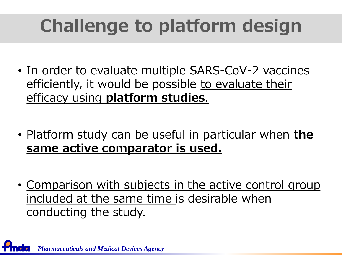# **Challenge to platform design**

- In order to evaluate multiple SARS-CoV-2 vaccines efficiently, it would be possible to evaluate their efficacy using **platform studies**.
- Platform study can be useful in particular when **the same active comparator is used.**
- Comparison with subjects in the active control group included at the same time is desirable when conducting the study.